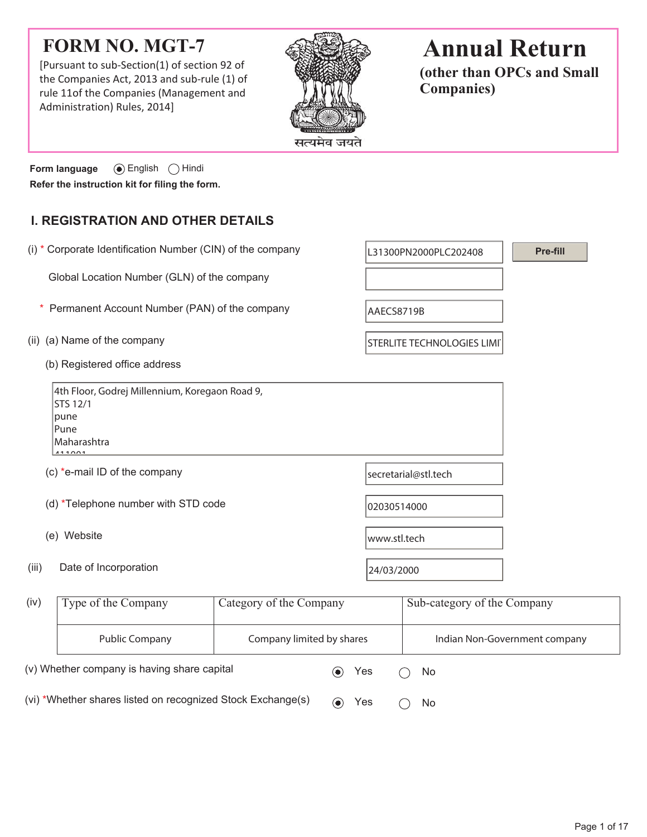# **FORM NO. MGT-7**

[Pursuant to sub-Section(1) of section 92 of the Companies Act, 2013 and sub-rule (1) of rule 11of the Companies (Management and Administration) Rules, 2014]



# **Annual Return**

**(other than OPCs and Small Companies)**

**Form language** (a) English  $\bigcap$  Hindi **Refer the instruction kit for filing the form.**

## **I. REGISTRATION AND OTHER DETAILS**

(i)  $*$  Corporate Identification Number (CIN) of the company  $\vert$  L31300PN2000PLC202408 Global Location Number (GLN) of the company (ii) (a) Name of the company STERLITE TECHNOLOGIES LIMIT (b) Registered office address 4th Floor, Godrej Millennium, Koregaon Road 9, STS 12/1 pune Pune Maharashtra 411001 (c)  $*$ e-mail ID of the company secretarial  $\circ$ secretarial  $\circ$ secretarial  $\circ$ secretarial  $\circ$ secretarial  $\circ$ secretarial  $\circ$ secretarial  $\circ$ secretarial  $\circ$ secretarial  $\circ$ secretarial  $\circ$ secretarial  $\circ$ secretarial (d)  $*$ Telephone number with STD code  $|02030514000$ (e) Website www.stl.tech (iii) Date of Incorporation  $24/03/2000$ Type of the Company Category of the Company Sub-category of the Company (iv) **Pre-fill** \* Permanent Account Number (PAN) of the company  $AAECS8719B$ 

| Public Company                                              | Company limited by shares |     |     | Indian Non-Government company |
|-------------------------------------------------------------|---------------------------|-----|-----|-------------------------------|
| (v) Whether company is having share capital                 |                           |     | Yes | No                            |
| (vi) *Whether shares listed on recognized Stock Exchange(s) |                           | (●) | Yes | No                            |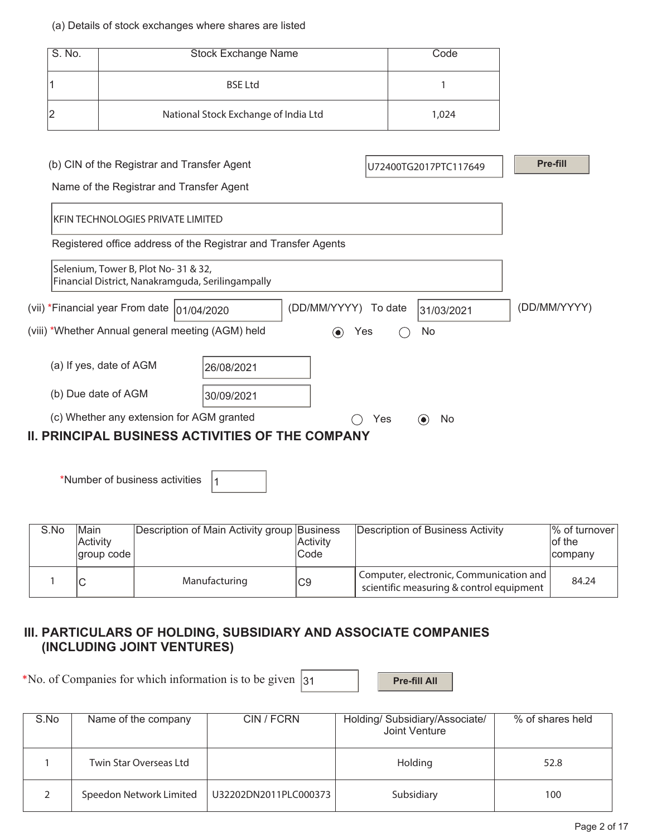#### (a) Details of stock exchanges where shares are listed

| S. No. | <b>Stock Exchange Name</b>                                                               |                                      |                      |     | Code |                                |              |
|--------|------------------------------------------------------------------------------------------|--------------------------------------|----------------------|-----|------|--------------------------------|--------------|
|        |                                                                                          | <b>BSE Ltd</b>                       |                      |     |      | 1                              |              |
| 2      |                                                                                          | National Stock Exchange of India Ltd |                      |     |      | 1,024                          |              |
|        | (b) CIN of the Registrar and Transfer Agent<br>U72400TG2017PTC117649                     |                                      |                      |     |      | Pre-fill                       |              |
|        | Name of the Registrar and Transfer Agent                                                 |                                      |                      |     |      |                                |              |
|        | KFIN TECHNOLOGIES PRIVATE LIMITED                                                        |                                      |                      |     |      |                                |              |
|        | Registered office address of the Registrar and Transfer Agents                           |                                      |                      |     |      |                                |              |
|        | Selenium, Tower B, Plot No-31 & 32,<br>Financial District, Nanakramguda, Serilingampally |                                      |                      |     |      |                                |              |
|        | (vii) *Financial year From date  01/04/2020                                              |                                      | (DD/MM/YYYY) To date |     |      | 31/03/2021                     | (DD/MM/YYYY) |
|        | (viii) *Whether Annual general meeting (AGM) held                                        |                                      | (●)                  | Yes |      | No                             |              |
|        | (a) If yes, date of AGM                                                                  | 26/08/2021                           |                      |     |      |                                |              |
|        | (b) Due date of AGM                                                                      | 30/09/2021                           |                      |     |      |                                |              |
|        | (c) Whether any extension for AGM granted                                                |                                      |                      | Yes |      | No<br>$\left( \bullet \right)$ |              |
|        | <b>II. PRINCIPAL BUSINESS ACTIVITIES OF THE COMPANY</b>                                  |                                      |                      |     |      |                                |              |

\*Number of business activities  $|_1$ 

| S.No | lMain<br>Activity<br> group code | Description of Main Activity group Business | <b>Activity</b><br>Code | Description of Business Activity                                                    | $\%$ of turnover<br>lof the<br>company |
|------|----------------------------------|---------------------------------------------|-------------------------|-------------------------------------------------------------------------------------|----------------------------------------|
|      | ◡                                | Manufacturing                               | C9                      | Computer, electronic, Communication and<br>scientific measuring & control equipment | 84.24                                  |

## **III. PARTICULARS OF HOLDING, SUBSIDIARY AND ASSOCIATE COMPANIES (INCLUDING JOINT VENTURES)**

\*No. of Companies for which information is to be given  $|31|$  **Pre-fill All** 

| S.No | Name of the company     | CIN / FCRN            | Holding/ Subsidiary/Associate/<br>Joint Venture | % of shares held |
|------|-------------------------|-----------------------|-------------------------------------------------|------------------|
|      | Twin Star Overseas Ltd  |                       | Holding                                         | 52.8             |
|      | Speedon Network Limited | U32202DN2011PLC000373 | Subsidiary                                      | 100              |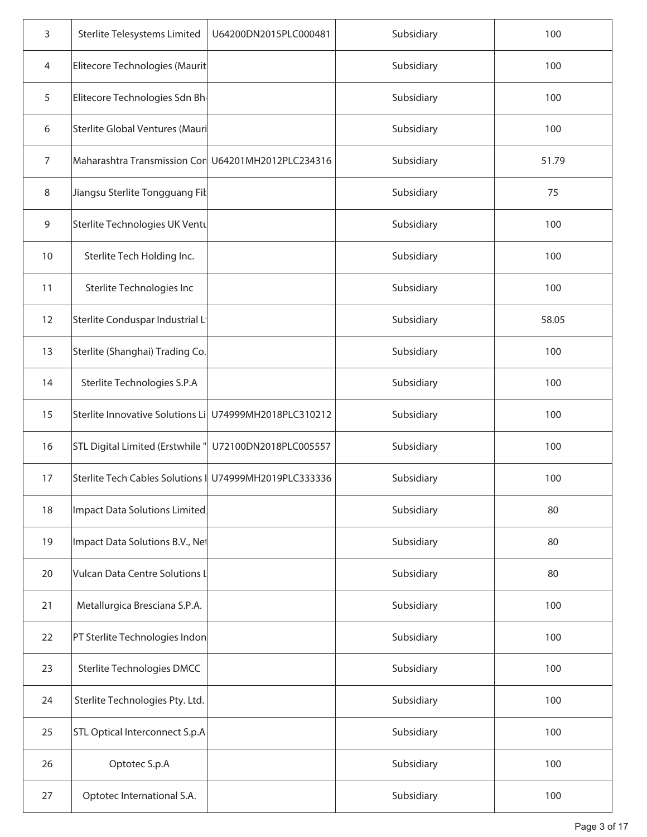| 3              | Sterlite Telesystems Limited                           | U64200DN2015PLC000481 | Subsidiary | 100   |
|----------------|--------------------------------------------------------|-----------------------|------------|-------|
| $\overline{4}$ | Elitecore Technologies (Maurit                         |                       | Subsidiary | 100   |
| 5              | Elitecore Technologies Sdn Bh                          |                       | Subsidiary | 100   |
| 6              | Sterlite Global Ventures (Mauri                        |                       | Subsidiary | 100   |
| $\overline{7}$ | Maharashtra Transmission Cor U64201MH2012PLC234316     |                       | Subsidiary | 51.79 |
| 8              | Jiangsu Sterlite Tongguang Fil                         |                       | Subsidiary | 75    |
| 9              | Sterlite Technologies UK Ventu                         |                       | Subsidiary | 100   |
| 10             | Sterlite Tech Holding Inc.                             |                       | Subsidiary | 100   |
| 11             | Sterlite Technologies Inc                              |                       | Subsidiary | 100   |
| 12             | Sterlite Conduspar Industrial L                        |                       | Subsidiary | 58.05 |
| 13             | Sterlite (Shanghai) Trading Co.                        |                       | Subsidiary | 100   |
| 14             | Sterlite Technologies S.P.A                            |                       | Subsidiary | 100   |
| 15             | Sterlite Innovative Solutions Li                       | U74999MH2018PLC310212 | Subsidiary | 100   |
| 16             | STL Digital Limited (Erstwhile "                       | U72100DN2018PLC005557 | Subsidiary | 100   |
| 17             | Sterlite Tech Cables Solutions   U74999MH2019PLC333336 |                       | Subsidiary | 100   |
| 18             | Impact Data Solutions Limited                          |                       | Subsidiary | 80    |
| 19             | Impact Data Solutions B.V., Net                        |                       | Subsidiary | 80    |
| 20             | Vulcan Data Centre Solutions L                         |                       | Subsidiary | 80    |
| 21             | Metallurgica Bresciana S.P.A.                          |                       | Subsidiary | 100   |
| 22             | PT Sterlite Technologies Indon                         |                       | Subsidiary | 100   |
| 23             | Sterlite Technologies DMCC                             |                       | Subsidiary | 100   |
| 24             | Sterlite Technologies Pty. Ltd.                        |                       | Subsidiary | 100   |
| 25             | STL Optical Interconnect S.p.A                         |                       | Subsidiary | 100   |
| 26             | Optotec S.p.A                                          |                       | Subsidiary | 100   |
| 27             | Optotec International S.A.                             |                       | Subsidiary | 100   |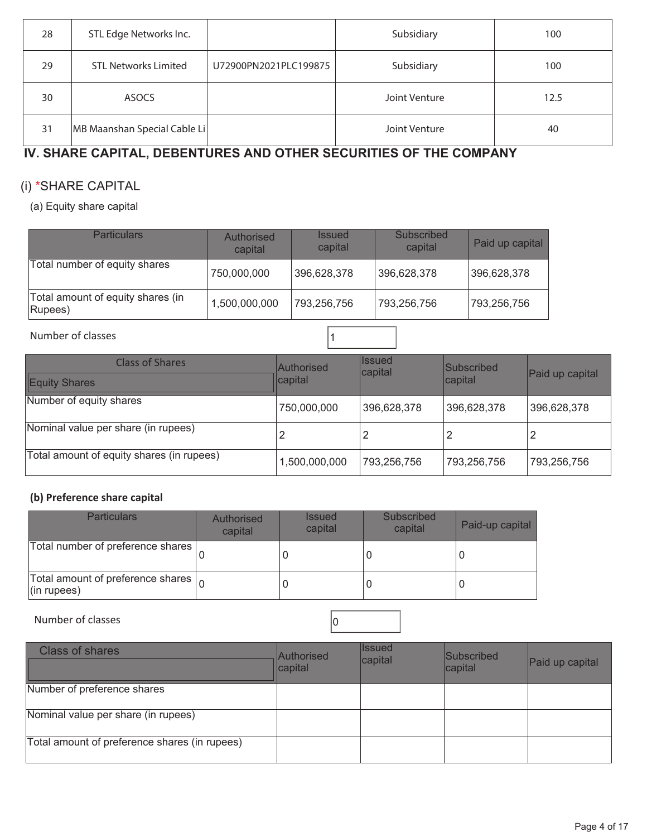| 28 | STL Edge Networks Inc.       |                       | Subsidiary    | 100  |
|----|------------------------------|-----------------------|---------------|------|
| 29 | <b>STL Networks Limited</b>  | U72900PN2021PLC199875 | Subsidiary    | 100  |
| 30 | <b>ASOCS</b>                 |                       | Joint Venture | 12.5 |
| 31 | MB Maanshan Special Cable Li |                       | Joint Venture | 40   |

# **IV. SHARE CAPITAL, DEBENTURES AND OTHER SECURITIES OF THE COMPANY**

## (i) \*SHARE CAPITAL

(a) Equity share capital

| <b>Particulars</b>                           | Authorised<br>capital | <i><b>Issued</b></i><br>capital | Subscribed<br>capital | Paid up capital |
|----------------------------------------------|-----------------------|---------------------------------|-----------------------|-----------------|
| Total number of equity shares                | 750,000,000           | 396,628,378                     | 396,628,378           | 396,628,378     |
| Total amount of equity shares (in<br>Rupees) | 1,500,000,000         | 793,256,756                     | 793,256,756           | 793,256,756     |

#### Number of classes and the set of  $\sim$  1

| <b>Class of Shares</b><br><b>Equity Shares</b> | <b>Authorised</b><br>capital | llssued<br>capital | Subscribed<br>capital | Paid up capital |
|------------------------------------------------|------------------------------|--------------------|-----------------------|-----------------|
| Number of equity shares                        | 750,000,000                  | 396,628,378        | 396,628,378           | 396,628,378     |
| Nominal value per share (in rupees)            | 2                            |                    |                       | '2              |
| Total amount of equity shares (in rupees)      | 1,500,000,000                | 793,256,756        | 793,256,756           | 793,256,756     |

## **(b) Preference share capital**

| <b>Particulars</b>                                                | Authorised<br>capital | <b>Issued</b><br>capital | Subscribed<br>capital | Paid-up capital |
|-------------------------------------------------------------------|-----------------------|--------------------------|-----------------------|-----------------|
| Total number of preference shares                                 |                       |                          |                       |                 |
| Total amount of preference shares $\vert_{\Omega}$<br>(in rupees) |                       |                          |                       |                 |

Number of classes and contact the contact of classes and contact of  $\sim$  0

| <b>Class of shares</b>                        | Authorised<br>capital | Ilssued<br>capital | Subscribed<br>capital | Paid up capital |
|-----------------------------------------------|-----------------------|--------------------|-----------------------|-----------------|
| Number of preference shares                   |                       |                    |                       |                 |
| Nominal value per share (in rupees)           |                       |                    |                       |                 |
| Total amount of preference shares (in rupees) |                       |                    |                       |                 |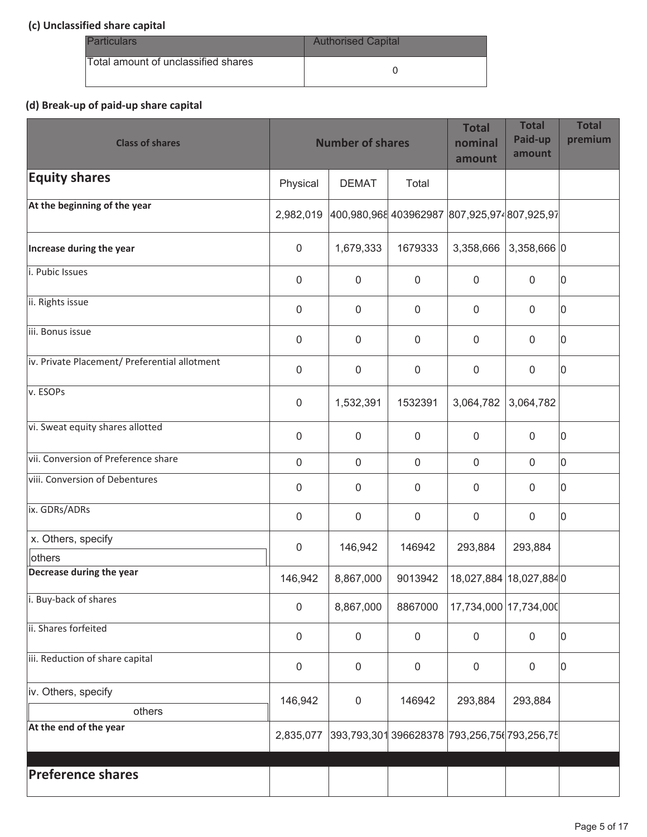## **(c) Unclassified share capital**

| <b>Particulars</b>                  | <b>Authorised Capital</b> |
|-------------------------------------|---------------------------|
| Total amount of unclassified shares |                           |

## **(d) Break-up of paid-up share capital**

| <b>Class of shares</b>                        | <b>Number of shares</b> |                  |                                                | <b>Total</b><br>nominal<br>amount | <b>Total</b><br>Paid-up<br>amount | <b>Total</b><br>premium |
|-----------------------------------------------|-------------------------|------------------|------------------------------------------------|-----------------------------------|-----------------------------------|-------------------------|
| <b>Equity shares</b>                          | Physical                | <b>DEMAT</b>     | Total                                          |                                   |                                   |                         |
| At the beginning of the year                  | 2,982,019               |                  | 400,980,968 403962987 807,925,974 807,925,97   |                                   |                                   |                         |
| Increase during the year                      | $\mathbf 0$             | 1,679,333        | 1679333                                        | 3,358,666                         | $3,358,666$ 0                     |                         |
| i. Pubic Issues                               | 0                       | $\mathbf{0}$     | $\mathbf 0$                                    | $\mathbf 0$                       | $\mathbf 0$                       | 10                      |
| ii. Rights issue                              | $\mathbf 0$             | $\mathbf 0$      | $\mathbf 0$                                    | 0                                 | $\mathbf 0$                       | 0                       |
| iii. Bonus issue                              | 0                       | 0                | $\mathbf 0$                                    | $\mathbf 0$                       | $\mathbf 0$                       | 10                      |
| iv. Private Placement/ Preferential allotment | 0                       | $\mathbf 0$      | $\boldsymbol{0}$                               | $\mathbf 0$                       | $\mathbf 0$                       | 0                       |
| v. ESOPs                                      | 0                       | 1,532,391        | 1532391                                        | 3,064,782                         | 3,064,782                         |                         |
| vi. Sweat equity shares allotted              | 0                       | $\mathbf 0$      | $\mathbf 0$                                    | 0                                 | $\mathbf 0$                       | 0                       |
| vii. Conversion of Preference share           | $\mathbf 0$             | $\mathbf 0$      | $\mathbf 0$                                    | $\mathbf 0$                       | $\mathbf 0$                       | lo.                     |
| viii. Conversion of Debentures                | $\mathbf 0$             | $\mathbf 0$      | $\mathbf 0$                                    | 0                                 | $\mathbf 0$                       | 10                      |
| ix. GDRs/ADRs                                 | $\mathbf 0$             | $\mathbf 0$      | $\mathbf 0$                                    | $\mathbf 0$                       | $\mathbf 0$                       | 10                      |
| x. Others, specify<br>others                  | $\boldsymbol{0}$        | 146,942          | 146942                                         | 293,884                           | 293,884                           |                         |
| Decrease during the year                      | 146,942                 | 8,867,000        | 9013942                                        | 18,027,884 18,027,884 0           |                                   |                         |
| i. Buy-back of shares                         | 0                       | 8,867,000        | 8867000                                        | 17,734,000 17,734,000             |                                   |                         |
| ii. Shares forfeited                          | $\mathbf 0$             | $\mathbf 0$      | $\mathbf 0$                                    | $\boldsymbol{0}$                  | $\mathbf 0$                       | 10                      |
| iii. Reduction of share capital               | 0                       | $\mathbf 0$      | $\boldsymbol{0}$                               | $\mathbf 0$                       | $\mathbf 0$                       | 10                      |
| iv. Others, specify<br>others                 | 146,942                 | $\boldsymbol{0}$ | 146942                                         | 293,884                           | 293,884                           |                         |
| At the end of the year                        | 2,835,077               |                  | 393,793,301  396628378  793,256,75( 793,256,75 |                                   |                                   |                         |
|                                               |                         |                  |                                                |                                   |                                   |                         |
| <b>Preference shares</b>                      |                         |                  |                                                |                                   |                                   |                         |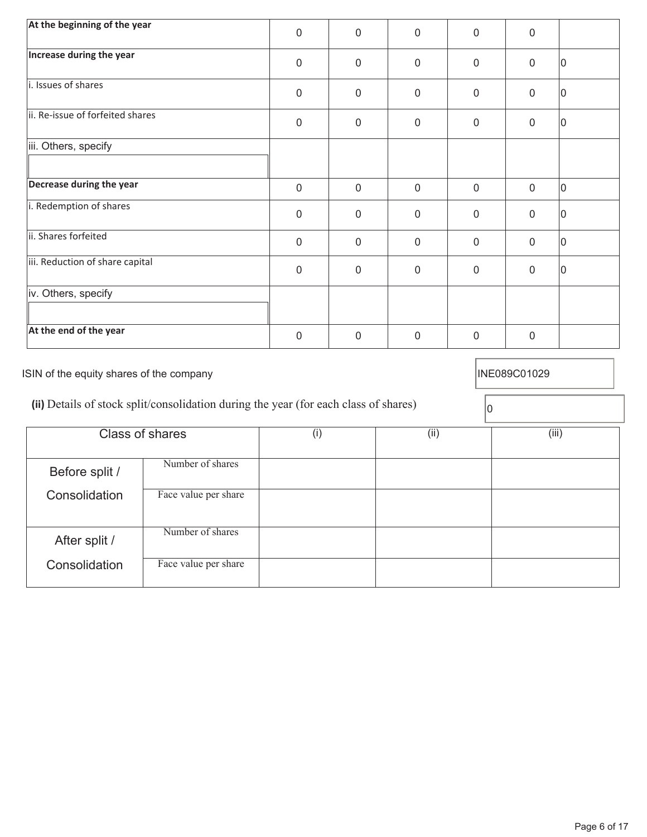| At the beginning of the year     | $\mathbf 0$      | $\mathbf{0}$ | $\mathbf{0}$   | $\Omega$       | $\mathbf{0}$   |    |
|----------------------------------|------------------|--------------|----------------|----------------|----------------|----|
| Increase during the year         | $\mathbf 0$      | $\mathbf 0$  | $\mathbf 0$    | $\mathbf 0$    | $\overline{0}$ | 10 |
| i. Issues of shares              | $\mathbf 0$      | $\Omega$     | $\overline{0}$ | $\Omega$       | $\Omega$       | 10 |
| ii. Re-issue of forfeited shares | $\mathbf 0$      | $\mathbf 0$  | $\overline{0}$ | $\mathbf 0$    | 0              | 10 |
| iii. Others, specify             |                  |              |                |                |                |    |
| Decrease during the year         | $\mathbf 0$      | $\mathbf 0$  | $\mathbf 0$    | $\mathbf 0$    | $\mathbf 0$    | 10 |
| i. Redemption of shares          | $\mathbf 0$      | $\mathbf 0$  | $\mathbf 0$    | $\overline{0}$ | $\overline{0}$ | 10 |
| ii. Shares forfeited             | $\mathbf 0$      | $\mathbf 0$  | $\mathbf 0$    | $\overline{0}$ | $\mathbf 0$    | 10 |
| iii. Reduction of share capital  | $\boldsymbol{0}$ | $\mathbf 0$  | $\mathbf 0$    | $\mathbf 0$    | $\mathbf 0$    | 10 |
| iv. Others, specify              |                  |              |                |                |                |    |
| At the end of the year           | $\boldsymbol{0}$ | $\mathbf 0$  | $\mathbf 0$    | 0              | $\mathbf 0$    |    |

ISIN of the equity shares of the company ISIN of the equity shares of the company

(ii) Details of stock split/consolidation during the year (for each class of shares)  $\boxed{0}$ 

|                | <b>Class of shares</b> | (i) | (ii) | (iii) |
|----------------|------------------------|-----|------|-------|
| Before split / | Number of shares       |     |      |       |
| Consolidation  | Face value per share   |     |      |       |
| After split /  | Number of shares       |     |      |       |
| Consolidation  | Face value per share   |     |      |       |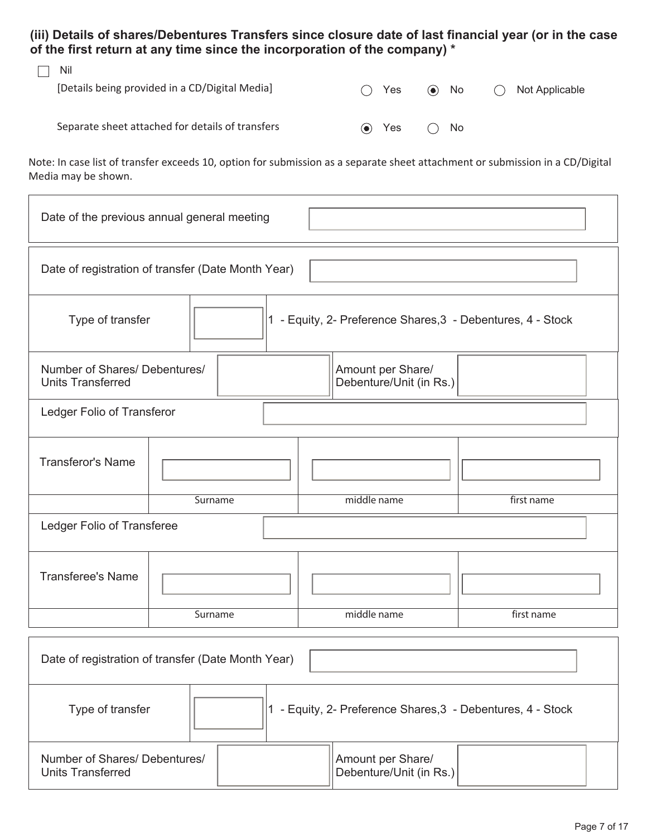**(iii) Details of shares/Debentures Transfers since closure date of last financial year (or in the case of the first return at any time since the incorporation of the company) \*** 

| $\Box$ Nil<br>[Details being provided in a CD/Digital Media] | $\bigcap$ Yes | $\odot$ No    | Not Applicable<br>( |
|--------------------------------------------------------------|---------------|---------------|---------------------|
| Separate sheet attached for details of transfers             | $\odot$ Yes   | $\bigcirc$ No |                     |

Note: In case list of transfer exceeds 10, option for submission as a separate sheet attachment or submission in a CD/Digital Media may be shown.

|                                                                                 | Date of the previous annual general meeting                 |  |                                              |            |  |  |  |
|---------------------------------------------------------------------------------|-------------------------------------------------------------|--|----------------------------------------------|------------|--|--|--|
| Date of registration of transfer (Date Month Year)                              |                                                             |  |                                              |            |  |  |  |
| Type of transfer                                                                | 1 - Equity, 2- Preference Shares, 3 - Debentures, 4 - Stock |  |                                              |            |  |  |  |
| Number of Shares/ Debentures/<br><b>Units Transferred</b>                       |                                                             |  | Amount per Share/<br>Debenture/Unit (in Rs.) |            |  |  |  |
| Ledger Folio of Transferor                                                      |                                                             |  |                                              |            |  |  |  |
| <b>Transferor's Name</b>                                                        |                                                             |  |                                              |            |  |  |  |
|                                                                                 | Surname                                                     |  | middle name                                  | first name |  |  |  |
| Ledger Folio of Transferee                                                      |                                                             |  |                                              |            |  |  |  |
| <b>Transferee's Name</b>                                                        |                                                             |  |                                              |            |  |  |  |
|                                                                                 | Surname                                                     |  | middle name                                  | first name |  |  |  |
| Date of registration of transfer (Date Month Year)                              |                                                             |  |                                              |            |  |  |  |
| 1 - Equity, 2- Preference Shares, 3 - Debentures, 4 - Stock<br>Type of transfer |                                                             |  |                                              |            |  |  |  |

| Number of Shares/ Debentures/<br>Units Transferred |  | Amount per Share/<br>$\vert$ Debenture/Unit (in Rs.) |  |
|----------------------------------------------------|--|------------------------------------------------------|--|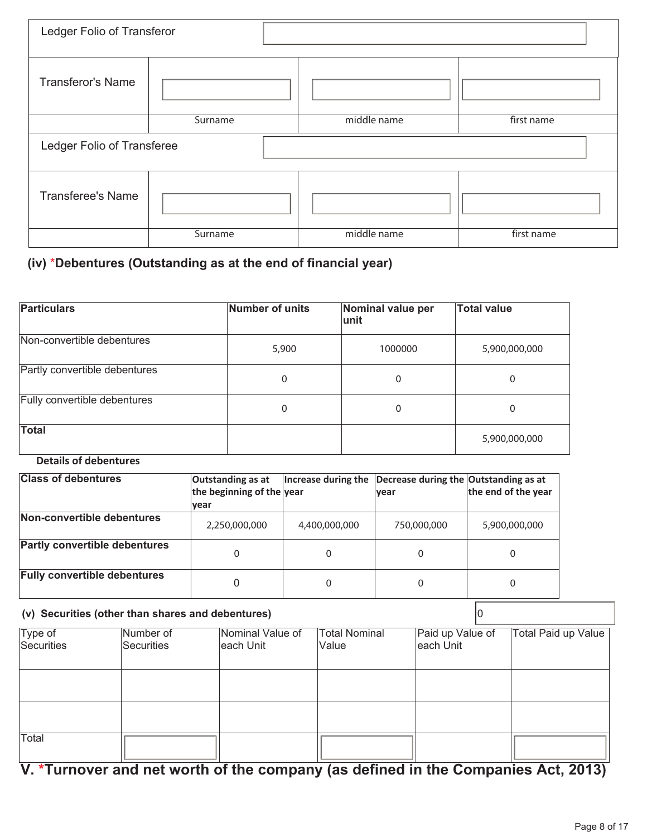| Ledger Folio of Transferor |         |             |            |
|----------------------------|---------|-------------|------------|
| <b>Transferor's Name</b>   |         |             |            |
|                            | Surname | middle name | first name |
|                            |         |             |            |
| Ledger Folio of Transferee |         |             |            |
| <b>Transferee's Name</b>   |         |             |            |

# **(iv)** \***Debentures (Outstanding as at the end of financial year)**

| <b>Particulars</b>            | Number of units | Nominal value per<br>lunit | <b>Total value</b> |
|-------------------------------|-----------------|----------------------------|--------------------|
| Non-convertible debentures    | 5,900           | 1000000                    | 5,900,000,000      |
| Partly convertible debentures | 0               | 0                          | 0                  |
| Fully convertible debentures  | 0               | 0                          | 0                  |
| <b>Total</b>                  |                 |                            | 5,900,000,000      |

#### **Details of debentures**

| <b>Class of debentures</b>           | Outstanding as at<br>the beginning of the year |               | Increase during the Decrease during the Outstanding as at<br><b>vear</b> | the end of the year |
|--------------------------------------|------------------------------------------------|---------------|--------------------------------------------------------------------------|---------------------|
|                                      | vear                                           |               |                                                                          |                     |
| Non-convertible debentures           | 2,250,000,000                                  | 4,400,000,000 | 750,000,000                                                              | 5,900,000,000       |
| <b>Partly convertible debentures</b> | 0                                              |               |                                                                          | 0                   |
| <b>Fully convertible debentures</b>  | 0                                              |               |                                                                          | 0                   |

#### **(v) Securities (other than shares and debentures)** 0

| Type of<br>Securities | Number of  | Nominal Value of | <b>Total Nominal</b> | Paid up Value of | Total Paid up Value |
|-----------------------|------------|------------------|----------------------|------------------|---------------------|
|                       | Securities | each Unit        | Value                | each Unit        |                     |
|                       |            |                  |                      |                  |                     |
|                       |            |                  |                      |                  |                     |
|                       |            |                  |                      |                  |                     |
|                       |            |                  |                      |                  |                     |
|                       |            |                  |                      |                  |                     |
| Total                 |            |                  |                      |                  |                     |
|                       |            |                  |                      |                  |                     |

# **V. \*Turnover and net worth of the company (as defined in the Companies Act, 2013)**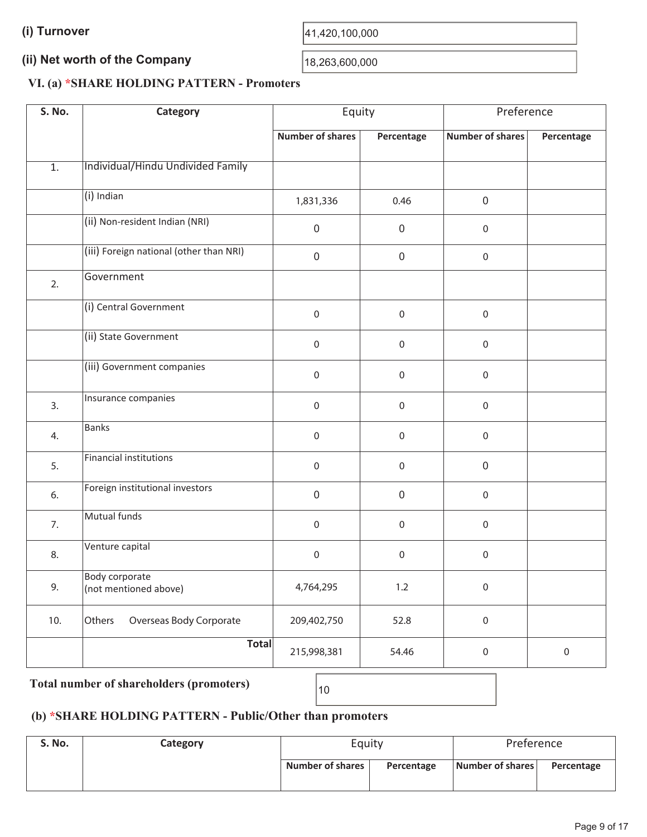(I) Turnover 41,420,100,000

# (ii) Net worth of the Company **18,263,600,000**

## **VI. (a) \*SHARE HOLDING PATTERN - Promoters**

| <b>S. No.</b>    | <b>Category</b>                         | Equity                  |                  | Preference              |                  |
|------------------|-----------------------------------------|-------------------------|------------------|-------------------------|------------------|
|                  |                                         | <b>Number of shares</b> | Percentage       | <b>Number of shares</b> | Percentage       |
| $\overline{1}$ . | Individual/Hindu Undivided Family       |                         |                  |                         |                  |
|                  | (i) Indian                              | 1,831,336               | 0.46             | $\boldsymbol{0}$        |                  |
|                  | (ii) Non-resident Indian (NRI)          | $\mathsf{O}\xspace$     | $\boldsymbol{0}$ | $\mathsf{O}\xspace$     |                  |
|                  | (iii) Foreign national (other than NRI) | $\boldsymbol{0}$        | $\boldsymbol{0}$ | $\mathsf{O}\xspace$     |                  |
| 2.               | Government                              |                         |                  |                         |                  |
|                  | (i) Central Government                  | $\mathbf 0$             | $\boldsymbol{0}$ | $\boldsymbol{0}$        |                  |
|                  | (ii) State Government                   | $\mathsf{O}\xspace$     | $\pmb{0}$        | $\boldsymbol{0}$        |                  |
|                  | (iii) Government companies              | $\boldsymbol{0}$        | $\boldsymbol{0}$ | $\boldsymbol{0}$        |                  |
| 3.               | Insurance companies                     | $\mathbf 0$             | $\mathbf 0$      | $\boldsymbol{0}$        |                  |
| 4.               | <b>Banks</b>                            | $\boldsymbol{0}$        | $\boldsymbol{0}$ | $\boldsymbol{0}$        |                  |
| 5.               | <b>Financial institutions</b>           | $\boldsymbol{0}$        | $\boldsymbol{0}$ | $\boldsymbol{0}$        |                  |
| 6.               | Foreign institutional investors         | $\mathbf 0$             | $\boldsymbol{0}$ | $\mathsf{O}\xspace$     |                  |
| 7.               | Mutual funds                            | $\boldsymbol{0}$        | $\boldsymbol{0}$ | $\boldsymbol{0}$        |                  |
| 8.               | Venture capital                         | 0                       | $\boldsymbol{0}$ | 0                       |                  |
| 9.               | Body corporate<br>(not mentioned above) | 4,764,295               | $1.2\,$          | $\mathsf{O}\xspace$     |                  |
| 10.              | Overseas Body Corporate<br>Others       | 209,402,750             | 52.8             | $\mathsf{O}\xspace$     |                  |
|                  | <b>Total</b>                            | 215,998,381             | 54.46            | $\boldsymbol{0}$        | $\boldsymbol{0}$ |

# Total number of shareholders (promoters)  $\Big|_{10}$

## **(b) \*SHARE HOLDING PATTERN - Public/Other than promoters**

| <b>S. No.</b> | Category | Equity                  |            | Preference       |            |
|---------------|----------|-------------------------|------------|------------------|------------|
|               |          | <b>Number of shares</b> | Percentage | Number of shares | Percentage |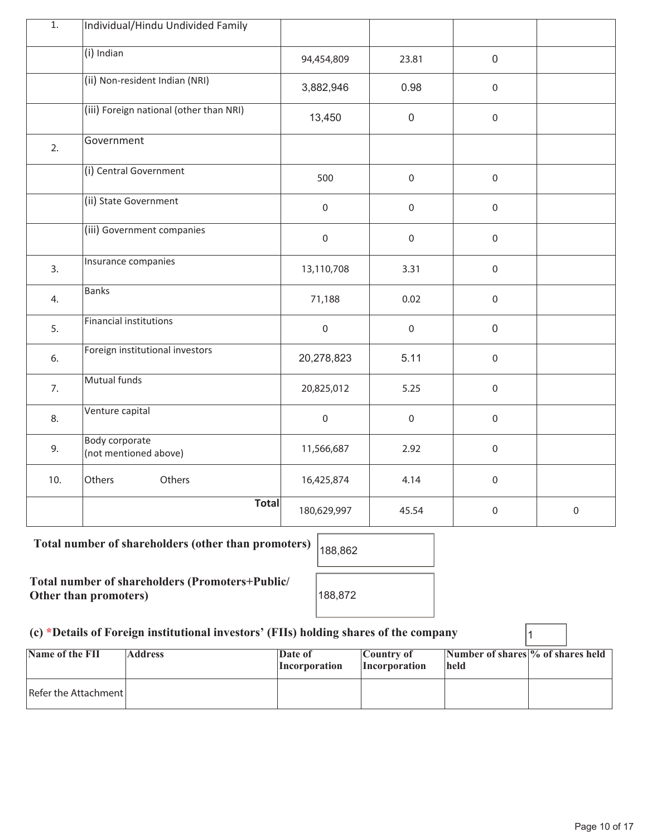| $\overline{1}$ . | Individual/Hindu Undivided Family       |             |             |                     |             |
|------------------|-----------------------------------------|-------------|-------------|---------------------|-------------|
|                  | (i) Indian                              | 94,454,809  | 23.81       | $\boldsymbol{0}$    |             |
|                  | (ii) Non-resident Indian (NRI)          | 3,882,946   | 0.98        | $\mathsf{O}\xspace$ |             |
|                  | (iii) Foreign national (other than NRI) | 13,450      | $\mathbf 0$ | $\mathbf 0$         |             |
| 2.               | Government                              |             |             |                     |             |
|                  | (i) Central Government                  | 500         | $\mathbf 0$ | $\mathbf 0$         |             |
|                  | (ii) State Government                   | $\,0\,$     | $\mathbf 0$ | $\mathsf{O}\xspace$ |             |
|                  | (iii) Government companies              | $\mathbf 0$ | $\mathbf 0$ | 0                   |             |
| 3.               | Insurance companies                     | 13,110,708  | 3.31        | $\mathbf 0$         |             |
| 4.               | <b>Banks</b>                            | 71,188      | 0.02        | $\mathbf 0$         |             |
| 5.               | <b>Financial institutions</b>           | $\mathbf 0$ | $\mathbf 0$ | $\mathbf 0$         |             |
| 6.               | Foreign institutional investors         | 20,278,823  | 5.11        | $\mathsf{O}\xspace$ |             |
| 7.               | Mutual funds                            | 20,825,012  | 5.25        | $\boldsymbol{0}$    |             |
| 8.               | Venture capital                         | $\mathbf 0$ | $\mathbf 0$ | $\mathsf{O}\xspace$ |             |
| 9.               | Body corporate<br>(not mentioned above) | 11,566,687  | 2.92        | $\mathbf 0$         |             |
| 10.              | Others<br>Others                        | 16,425,874  | 4.14        | 0                   |             |
|                  | <b>Total</b>                            | 180,629,997 | 45.54       | $\mathsf{O}\xspace$ | $\mathbf 0$ |

Total number of shareholders (other than promoters)  $|_{188,862}$ 

**Total number of shareholders (Promoters+Public/ Other than promoters)** 188,872

# **(c) \*Details of Foreign institutional investors' (FIIs) holding shares of the company** 1

| Name of the FII      | <b>Address</b> | Date of<br><i>Incorporation</i> | Country of<br><i>Incorporation</i> | Number of shares % of shares held<br><b>held</b> |  |
|----------------------|----------------|---------------------------------|------------------------------------|--------------------------------------------------|--|
| Refer the Attachment |                |                                 |                                    |                                                  |  |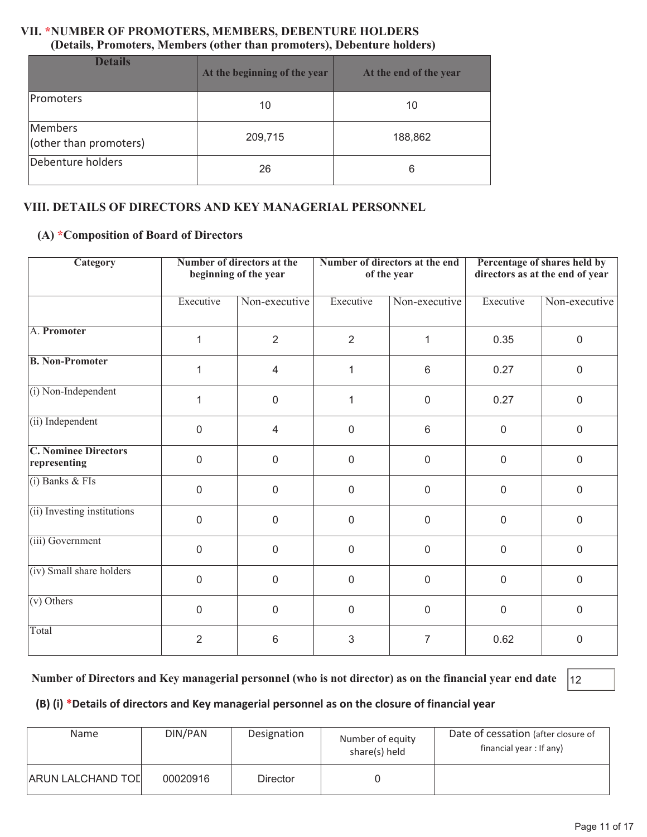#### **VII. \*NUMBER OF PROMOTERS, MEMBERS, DEBENTURE HOLDERS (Details, Promoters, Members (other than promoters), Debenture holders)**

| <b>Details</b>                    | At the beginning of the year | At the end of the year |  |  |
|-----------------------------------|------------------------------|------------------------|--|--|
| Promoters                         | 10                           | 10                     |  |  |
| Members<br>(other than promoters) | 209,715                      | 188,862                |  |  |
| Debenture holders                 | 26                           | 6                      |  |  |

### **VIII. DETAILS OF DIRECTORS AND KEY MANAGERIAL PERSONNEL**

#### **(A) \*Composition of Board of Directors**

| <b>Category</b>                             |                | Number of directors at the<br>beginning of the year |                | Number of directors at the end<br>of the year | Percentage of shares held by<br>directors as at the end of year |                |
|---------------------------------------------|----------------|-----------------------------------------------------|----------------|-----------------------------------------------|-----------------------------------------------------------------|----------------|
|                                             | Executive      | Non-executive                                       | Executive      | Non-executive                                 | Executive                                                       | Non-executive  |
| A. Promoter                                 | 1              | $\overline{2}$                                      | $\overline{2}$ | 1                                             | 0.35                                                            | $\mathbf 0$    |
| <b>B. Non-Promoter</b>                      | $\mathbf{1}$   | 4                                                   | $\mathbf{1}$   | $6\phantom{1}6$                               | 0.27                                                            | $\mathbf 0$    |
| (i) Non-Independent                         | 1              | 0                                                   | 1              | $\overline{0}$                                | 0.27                                                            | $\overline{0}$ |
| (ii) Independent                            | $\Omega$       | 4                                                   | $\mathbf 0$    | 6                                             | 0                                                               | $\overline{0}$ |
| <b>C. Nominee Directors</b><br>representing | $\mathbf 0$    | $\overline{0}$                                      | $\mathbf 0$    | $\mathbf 0$                                   | $\Omega$                                                        | $\mathbf 0$    |
| $(i)$ Banks & FIs                           | $\mathbf 0$    | $\overline{0}$                                      | $\mathbf 0$    | 0                                             | 0                                                               | $\mathbf 0$    |
| (ii) Investing institutions                 | $\mathbf 0$    | $\mathbf 0$                                         | $\mathbf 0$    | $\mathbf 0$                                   | 0                                                               | $\mathbf 0$    |
| (iii) Government                            | $\Omega$       | $\overline{0}$                                      | $\mathbf 0$    | $\mathbf 0$                                   | 0                                                               | $\mathbf 0$    |
| (iv) Small share holders                    | $\mathbf 0$    | $\mathbf 0$                                         | $\mathbf 0$    | $\mathbf 0$                                   | 0                                                               | $\mathbf 0$    |
| $(v)$ Others                                | $\overline{0}$ | 0                                                   | $\mathbf 0$    | $\overline{0}$                                | 0                                                               | $\overline{0}$ |
| Total                                       | $\overline{2}$ | 6                                                   | 3              | $\overline{7}$                                | 0.62                                                            | $\mathbf 0$    |

#### **Number of Directors and Key managerial personnel (who is not director) as on the financial year end date** 12

#### **(B) (i) \*Details of directors and Key managerial personnel as on the closure of financial year**

| Name              | DIN/PAN  | Designation     | Number of equity<br>share(s) held | Date of cessation (after closure of<br>financial year: If any) |
|-------------------|----------|-----------------|-----------------------------------|----------------------------------------------------------------|
| ARUN LALCHAND TOL | 00020916 | <b>Director</b> |                                   |                                                                |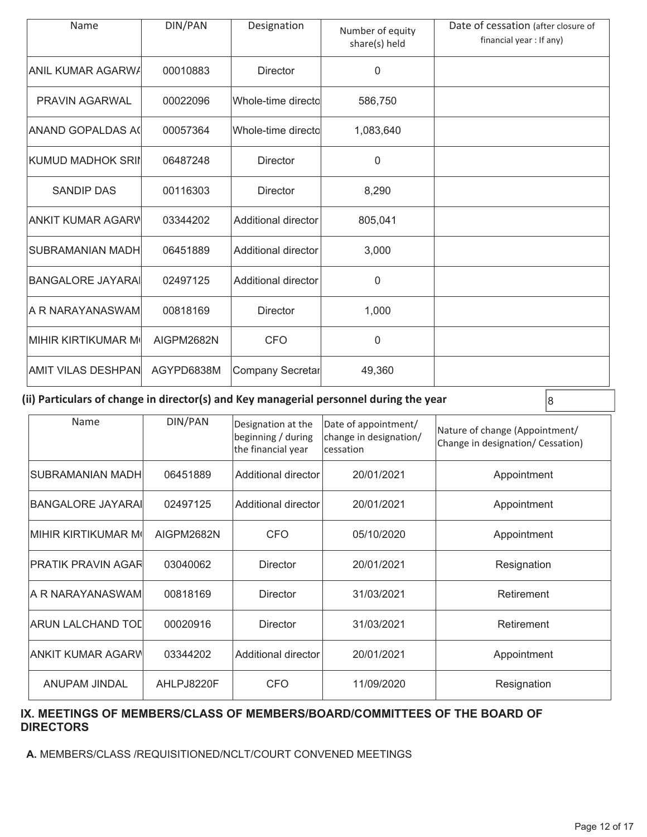| DIN/PAN<br>Designation<br>Name |            | Number of equity<br>share(s) held | Date of cessation (after closure of<br>financial year: If any) |  |
|--------------------------------|------------|-----------------------------------|----------------------------------------------------------------|--|
| IANIL KUMAR AGARWA             | 00010883   | <b>Director</b>                   | 0                                                              |  |
| <b>PRAVIN AGARWAL</b>          | 00022096   | Whole-time directo                | 586,750                                                        |  |
| ANAND GOPALDAS A(              | 00057364   | Whole-time directo                | 1,083,640                                                      |  |
| KUMUD MADHOK SRII              | 06487248   | <b>Director</b>                   | 0                                                              |  |
| <b>SANDIP DAS</b><br>00116303  |            | <b>Director</b>                   | 8,290                                                          |  |
| IANKIT KUMAR AGARV             | 03344202   | Additional director               | 805,041                                                        |  |
| SUBRAMANIAN MADH               | 06451889   | Additional director               | 3,000                                                          |  |
| <b>BANGALORE JAYARAI</b>       | 02497125   | Additional director               | 0                                                              |  |
| A R NARAYANASWAM               | 00818169   | <b>Director</b>                   | 1,000                                                          |  |
| IMIHIR KIRTIKUMAR M(           | AIGPM2682N | <b>CFO</b>                        | 0                                                              |  |
| AMIT VILAS DESHPAN             | AGYPD6838M | Company Secretar                  | 49,360                                                         |  |

#### (ii) Particulars of change in director(s) and Key managerial personnel during the year  $|8|$

| Name                      | DIN/PAN    | Designation at the<br>beginning / during<br>the financial year | Date of appointment/<br>change in designation/<br>cessation | Nature of change (Appointment/<br>Change in designation/ Cessation) |
|---------------------------|------------|----------------------------------------------------------------|-------------------------------------------------------------|---------------------------------------------------------------------|
| SUBRAMANIAN MADHI         | 06451889   | Additional director                                            | 20/01/2021                                                  | Appointment                                                         |
| <b>BANGALORE JAYARAI</b>  | 02497125   | Additional director                                            | 20/01/2021                                                  | Appointment                                                         |
| IMIHIR KIRTIKUMAR MI      | AIGPM2682N | CFO                                                            | 05/10/2020                                                  | Appointment                                                         |
| <b>PRATIK PRAVIN AGAR</b> | 03040062   | <b>Director</b>                                                | 20/01/2021                                                  | Resignation                                                         |
| A R NARAYANASWAMI         | 00818169   | <b>Director</b>                                                | 31/03/2021                                                  | Retirement                                                          |
| <b>ARUN LALCHAND TOLI</b> | 00020916   | <b>Director</b>                                                | 31/03/2021                                                  | Retirement                                                          |
| <b>ANKIT KUMAR AGARVI</b> | 03344202   | Additional director                                            | 20/01/2021                                                  | Appointment                                                         |
| ANUPAM JINDAL             | AHLPJ8220F | <b>CFO</b>                                                     | 11/09/2020                                                  | Resignation                                                         |

#### **IX. MEETINGS OF MEMBERS/CLASS OF MEMBERS/BOARD/COMMITTEES OF THE BOARD OF DIRECTORS**

 **A.** MEMBERS/CLASS /REQUISITIONED/NCLT/COURT CONVENED MEETINGS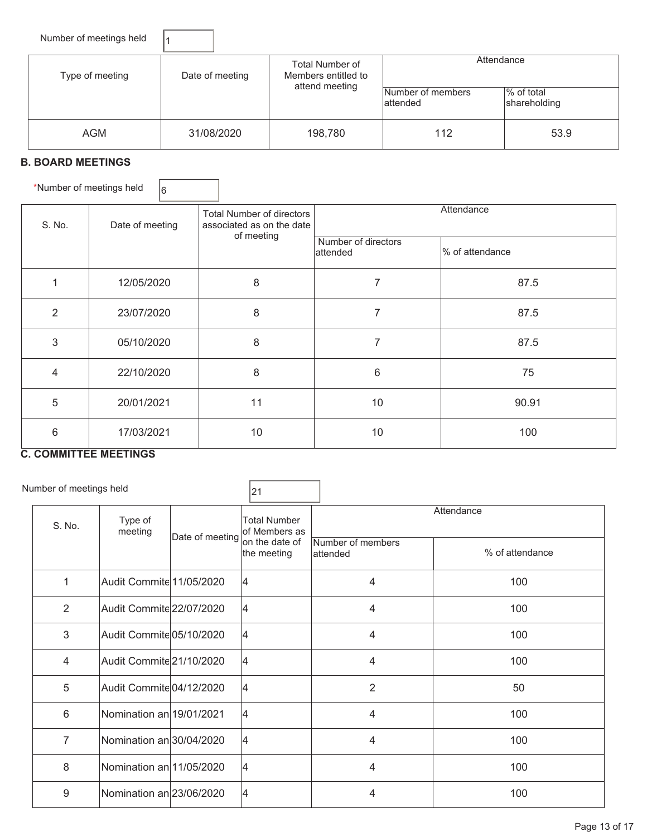| Number of meetings held |                 |                                                          |                                |                            |  |
|-------------------------|-----------------|----------------------------------------------------------|--------------------------------|----------------------------|--|
| Type of meeting         | Date of meeting | Total Number of<br>Members entitled to<br>attend meeting | Attendance                     |                            |  |
|                         |                 |                                                          | Number of members<br>lattended | % of total<br>shareholding |  |
| <b>AGM</b>              | 31/08/2020      | 198,780                                                  | 112                            | 53.9                       |  |

 $\overline{\phantom{a}}$ 

#### **B. BOARD MEETINGS**

\*Number of meetings held  $\Big|_6$ 

| S. No.         | Date of meeting  | Total Number of directors<br>associated as on the date<br>of meeting | Attendance                      |                 |  |  |
|----------------|------------------|----------------------------------------------------------------------|---------------------------------|-----------------|--|--|
|                |                  |                                                                      | Number of directors<br>attended | % of attendance |  |  |
|                | 12/05/2020       | 8                                                                    | 7                               | 87.5            |  |  |
| $\overline{2}$ | 23/07/2020       | 8                                                                    | 7                               | 87.5            |  |  |
| 3              | 05/10/2020       | 8                                                                    | 7                               | 87.5            |  |  |
| $\overline{4}$ | 22/10/2020       | $\,8\,$                                                              | 6                               | 75              |  |  |
| 5              | 20/01/2021       | 11                                                                   | 10                              | 90.91           |  |  |
| 6              | 17/03/2021<br>10 |                                                                      | 10                              | 100             |  |  |
|                |                  |                                                                      |                                 |                 |  |  |

 $\overline{\phantom{0}}$ 

#### **C. COMMITTEE MEETINGS**

| Number of meetings held |                          |                 | 21                            |                                |                 |
|-------------------------|--------------------------|-----------------|-------------------------------|--------------------------------|-----------------|
| S. No.                  | Type of<br>meeting       | Date of meeting | Total Number<br>of Members as |                                | Attendance      |
|                         |                          |                 | on the date of<br>the meeting | Number of members<br>lattended | % of attendance |
| 1                       | Audit Commite 11/05/2020 |                 | 14                            | 4                              | 100             |
| $\overline{2}$          | Audit Commite 22/07/2020 |                 | 14                            | 4                              | 100             |
| 3                       | Audit Commite 05/10/2020 |                 | 4                             | 4                              | 100             |
| $\overline{4}$          | Audit Commite 21/10/2020 |                 | 14                            | 4                              | 100             |
| 5                       | Audit Commite 04/12/2020 |                 | 4                             | $\overline{2}$                 | 50              |
| $6\phantom{1}$          | Nomination an 19/01/2021 |                 | 4                             | 4                              | 100             |
| $\overline{7}$          | Nomination an 30/04/2020 |                 | 4                             | 4                              | 100             |
| 8                       | Nomination an 11/05/2020 |                 | 14                            | 4                              | 100             |
| 9                       | Nomination an 23/06/2020 |                 | 4                             | 4                              | 100             |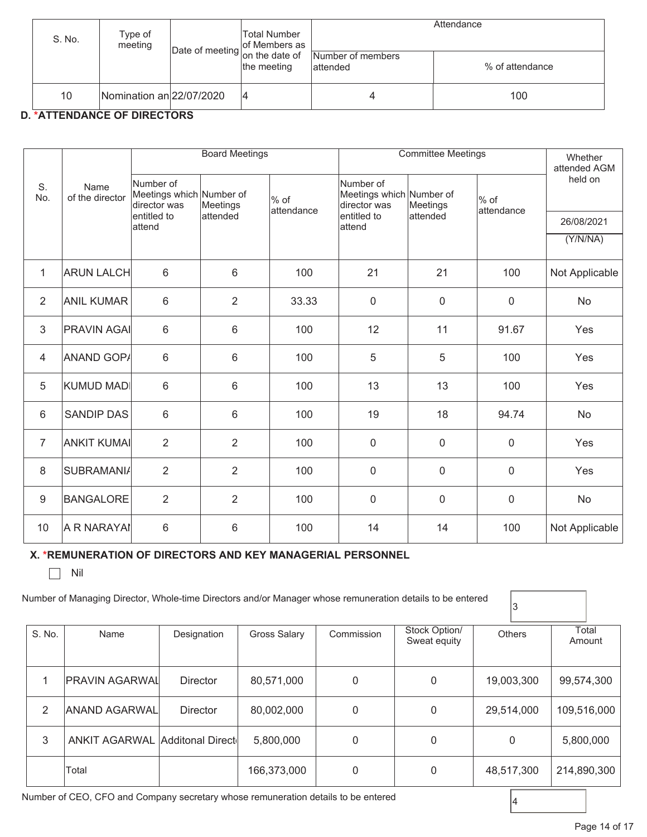| S. No. | Type of<br>meeting       | Date of meeting of Members as<br>on the date of | Total Number | Attendance                     |                 |  |
|--------|--------------------------|-------------------------------------------------|--------------|--------------------------------|-----------------|--|
|        |                          |                                                 | the meeting  | Number of members<br>lattended | % of attendance |  |
| 10     | Nomination an 22/07/2020 |                                                 | 14           |                                | 100             |  |

### **D. \*ATTENDANCE OF DIRECTORS**

|                |                         | <b>Board Meetings</b>                                 |                |                      | <b>Committee Meetings</b>                             | Whether<br>attended AGM |                    |                |
|----------------|-------------------------|-------------------------------------------------------|----------------|----------------------|-------------------------------------------------------|-------------------------|--------------------|----------------|
| S.<br>No.      | Name<br>of the director | Number of<br>Meetings which Number of<br>director was | Meetings       | $%$ of<br>attendance | Number of<br>Meetings which Number of<br>director was | Meetings                | % of<br>attendance | held on        |
|                |                         | entitled to<br>attend                                 | attended       |                      | entitled to<br>attend                                 | attended                |                    | 26/08/2021     |
|                |                         |                                                       |                |                      |                                                       |                         |                    | (Y/N/NA)       |
| $\mathbf{1}$   | <b>ARUN LALCH</b>       | 6                                                     | 6              | 100                  | 21                                                    | 21                      | 100                | Not Applicable |
| $\overline{2}$ | <b>ANIL KUMAR</b>       | 6                                                     | $\overline{2}$ | 33.33                | $\mathbf 0$                                           | 0                       | $\mathbf 0$        | No             |
| 3              | <b>PRAVIN AGAI</b>      | 6                                                     | 6              | 100                  | 12                                                    | 11                      | 91.67              | Yes            |
| 4              | ANAND GOP/              | $6\,$                                                 | 6              | 100                  | 5                                                     | 5                       | 100                | Yes            |
| 5              | <b>KUMUD MADI</b>       | $6\phantom{1}$                                        | 6              | 100                  | 13                                                    | 13                      | 100                | Yes            |
| 6              | <b>SANDIP DAS</b>       | 6                                                     | 6              | 100                  | 19                                                    | 18                      | 94.74              | No             |
| $\overline{7}$ | <b>ANKIT KUMAI</b>      | $\overline{2}$                                        | $\overline{2}$ | 100                  | $\mathbf 0$                                           | $\mathbf 0$             | $\overline{0}$     | Yes            |
| 8              | <b>SUBRAMANIA</b>       | $\overline{2}$                                        | $\overline{2}$ | 100                  | $\mathbf 0$                                           | 0                       | $\mathbf 0$        | Yes            |
| 9              | <b>BANGALORE</b>        | $\overline{2}$                                        | $\overline{2}$ | 100                  | $\overline{0}$                                        | 0                       | $\mathbf 0$        | No             |
| 10             | A R NARAYAI             | 6                                                     | 6              | 100                  | 14                                                    | 14                      | 100                | Not Applicable |

#### **X. \*REMUNERATION OF DIRECTORS AND KEY MANAGERIAL PERSONNEL**

 $\Box$  Nil

|        | Number of Managing Director, Whole-time Directors and/or Manager whose remuneration details to be entered |                 |                     |            |                               |               |                 |
|--------|-----------------------------------------------------------------------------------------------------------|-----------------|---------------------|------------|-------------------------------|---------------|-----------------|
| S. No. | Name                                                                                                      | Designation     | <b>Gross Salary</b> | Commission | Stock Option/<br>Sweat equity | <b>Others</b> | Total<br>Amount |
|        | <b>PRAVIN AGARWAL</b>                                                                                     | <b>Director</b> | 80,571,000          | 0          | 0                             | 19,003,300    | 99,574,300      |
| 2      | ANAND AGARWAL                                                                                             | <b>Director</b> | 80,002,000          | 0          | 0                             | 29,514,000    | 109,516,000     |
| 3      | <b>ANKIT AGARWAL Additional Direction</b>                                                                 |                 | 5,800,000           | 0          | 0                             | $\Omega$      | 5,800,000       |
|        | Total                                                                                                     |                 | 166,373,000         | 0          | 0                             | 48,517,300    | 214,890,300     |

Number of CEO, CFO and Company secretary whose remuneration details to be entered  $\left| 4\right\rangle$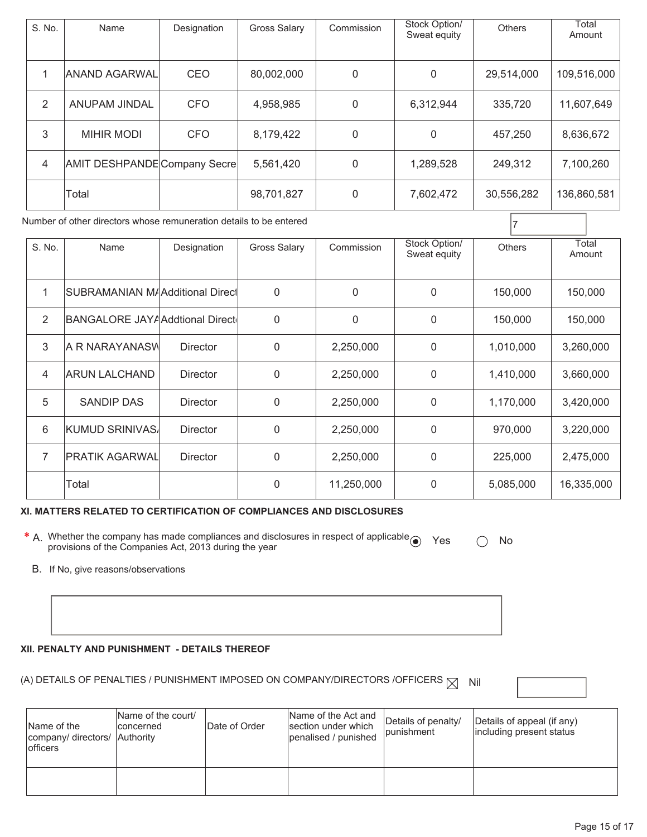|                                                                    | S. No. | Name                         | Designation | <b>Gross Salary</b> | Commission   | Stock Option/<br>Sweat equity | <b>Others</b> | Total<br>Amount |
|--------------------------------------------------------------------|--------|------------------------------|-------------|---------------------|--------------|-------------------------------|---------------|-----------------|
|                                                                    | 1      | <b>ANAND AGARWAL</b>         | <b>CEO</b>  | 80,002,000          | 0            | $\mathbf{0}$                  | 29,514,000    | 109,516,000     |
|                                                                    | 2      | ANUPAM JINDAL                | <b>CFO</b>  | 4,958,985           | 0            | 6,312,944                     | 335,720       | 11,607,649      |
|                                                                    | 3      | <b>MIHIR MODI</b>            | <b>CFO</b>  | 8,179,422           | 0            | $\mathbf{0}$                  | 457,250       | 8,636,672       |
|                                                                    | 4      | AMIT DESHPANDE Company Secre |             | 5,561,420           | 0            | 1,289,528                     | 249,312       | 7,100,260       |
|                                                                    |        | Total                        |             | 98,701,827          | $\mathbf{0}$ | 7,602,472                     | 30,556,282    | 136,860,581     |
| Number of other directors whose remuneration details to be entered |        |                              |             |                     |              |                               |               |                 |
|                                                                    | S. No. | Name                         | Designation | Gross Salary        | Commission   | Stock Option/<br>Sweat equity | <b>Others</b> | Total<br>Amount |

| S. No.         | Name                                  | Designation     | Gross Salary | Commission | Stock Option/<br>Sweat equity | <b>Others</b> | I otal<br>Amount |
|----------------|---------------------------------------|-----------------|--------------|------------|-------------------------------|---------------|------------------|
| 1              | SUBRAMANIAN M/ Additional Direct      |                 | $\Omega$     | 0          | $\mathbf{0}$                  | 150,000       | 150,000          |
| 2              | <b>BANGALORE JAYAAddtional Direct</b> |                 | 0            | 0          | 0                             | 150,000       | 150,000          |
| 3              | A R NARAYANASW                        | <b>Director</b> | $\mathbf{0}$ | 2,250,000  | 0                             | 1,010,000     | 3,260,000        |
| 4              | <b>ARUN LALCHAND</b>                  | <b>Director</b> | 0            | 2,250,000  | 0                             | 1,410,000     | 3,660,000        |
| 5              | <b>SANDIP DAS</b>                     | <b>Director</b> | 0            | 2,250,000  | 0                             | 1,170,000     | 3,420,000        |
| 6              | KUMUD SRINIVAS.∣                      | <b>Director</b> | 0            | 2,250,000  | $\mathbf 0$                   | 970,000       | 3,220,000        |
| $\overline{7}$ | PRATIK AGARWAL                        | <b>Director</b> | 0            | 2,250,000  | 0                             | 225,000       | 2,475,000        |
|                | Total                                 |                 | $\mathbf{0}$ | 11,250,000 | 0                             | 5,085,000     | 16,335,000       |

#### **XI. MATTERS RELATED TO CERTIFICATION OF COMPLIANCES AND DISCLOSURES**

| * A. Whether the company has made compliances and disclosures in respect of applicable $\odot$ Yes | $\bigcirc$ No |  |
|----------------------------------------------------------------------------------------------------|---------------|--|
| provisions of the Companies Act, 2013 during the year                                              |               |  |

B. If No, give reasons/observations

#### **XII. PENALTY AND PUNISHMENT - DETAILS THEREOF**

# (A) DETAILS OF PENALTIES / PUNISHMENT IMPOSED ON COMPANY/DIRECTORS /OFFICERS  $\boxtimes$  Nil

| Name of the<br>company/ directors/ Authority<br><b>lofficers</b> | Name of the court/<br>Iconcerned | Date of Order | Name of the Act and<br>section under which<br>lpenalised / punished | Details of penalty/<br><i>l</i> punishment | Details of appeal (if any)<br>including present status |
|------------------------------------------------------------------|----------------------------------|---------------|---------------------------------------------------------------------|--------------------------------------------|--------------------------------------------------------|
|                                                                  |                                  |               |                                                                     |                                            |                                                        |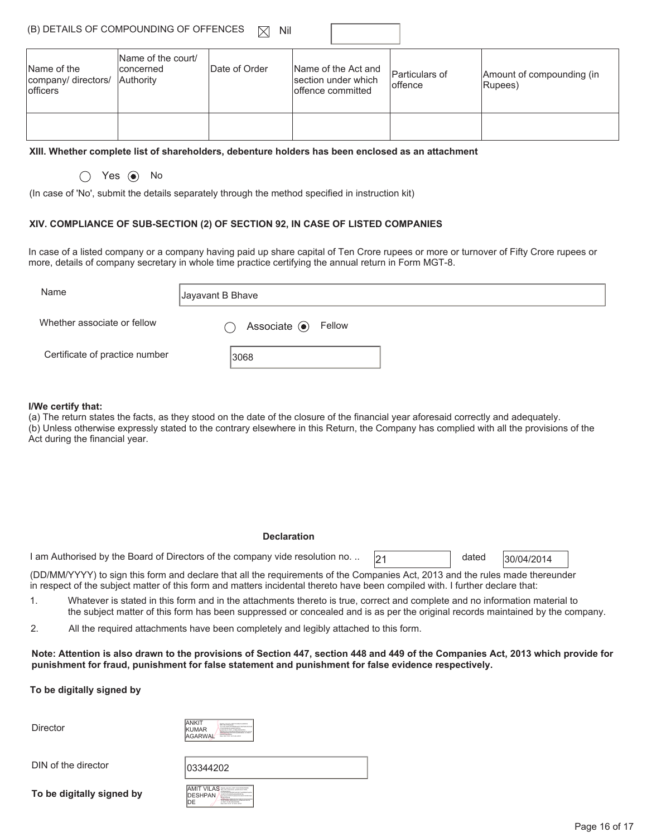| (B) DETAILS OF COMPOUNDING OF OFFENCES $\boxtimes$ Nil |  |
|--------------------------------------------------------|--|
|                                                        |  |

| Name of the<br>company/ directors/ Authority<br><b>officers</b> | Name of the court/<br>Iconcerned | Date of Order | Name of the Act and<br>section under which<br>offence committed | Particulars of<br>loffence | Amount of compounding (in<br>Rupees) |
|-----------------------------------------------------------------|----------------------------------|---------------|-----------------------------------------------------------------|----------------------------|--------------------------------------|
|                                                                 |                                  |               |                                                                 |                            |                                      |

#### **XIII. Whether complete list of shareholders, debenture holders has been enclosed as an attachment**

#### $\bigcap$  Yes  $\bigcirc$  No

(In case of 'No', submit the details separately through the method specified in instruction kit)

#### **XIV. COMPLIANCE OF SUB-SECTION (2) OF SECTION 92, IN CASE OF LISTED COMPANIES**

In case of a listed company or a company having paid up share capital of Ten Crore rupees or more or turnover of Fifty Crore rupees or more, details of company secretary in whole time practice certifying the annual return in Form MGT-8.

| Name                           | Jayavant B Bhave              |
|--------------------------------|-------------------------------|
| Whether associate or fellow    | Associate <sup>O</sup> Fellow |
| Certificate of practice number | 3068                          |

#### **I/We certify that:**

(a) The return states the facts, as they stood on the date of the closure of the financial year aforesaid correctly and adequately. (b) Unless otherwise expressly stated to the contrary elsewhere in this Return, the Company has complied with all the provisions of the Act during the financial year.

#### **Declaration**

1 am Authorised by the Board of Directors of the company vide resolution no. ..  $\sqrt{21}$  dated  $\sqrt{30/04/2014}$ 

dated

(DD/MM/YYYY) to sign this form and declare that all the requirements of the Companies Act, 2013 and the rules made thereunder in respect of the subject matter of this form and matters incidental thereto have been compiled with. I further declare that:

- 1. Whatever is stated in this form and in the attachments thereto is true, correct and complete and no information material to the subject matter of this form has been suppressed or concealed and is as per the original records maintained by the company.
- 2. All the required attachments have been completely and legibly attached to this form.

**Note: Attention is also drawn to the provisions of Section 447, section 448 and 449 of the Companies Act, 2013 which provide for punishment for fraud, punishment for false statement and punishment for false evidence respectively.** 

#### **To be digitally signed by**

**Director** 

| KIT                |  |
|--------------------|--|
| UMAR               |  |
| <b>GARWA</b><br>ΔI |  |

DIN of the director  $\Big|_{03344202}$ 

**To be digitally signed by** 



cn=AMIT VILAS DESHPANDE